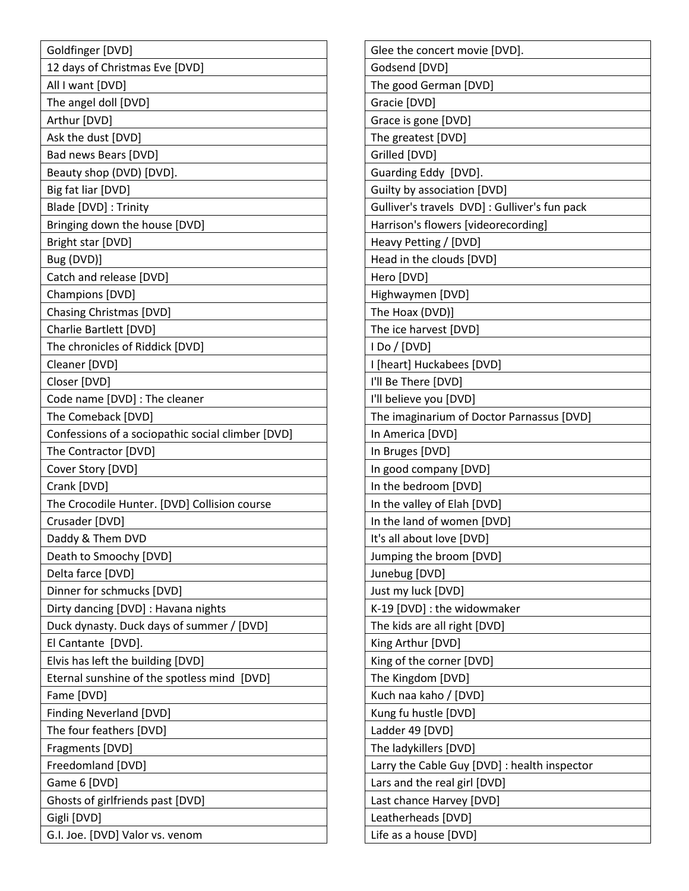| Goldfinger [DVD]                                  |
|---------------------------------------------------|
| 12 days of Christmas Eve [DVD]                    |
| All I want [DVD]                                  |
| The angel doll [DVD]                              |
| Arthur [DVD]                                      |
| Ask the dust [DVD]                                |
| Bad news Bears [DVD]                              |
| Beauty shop (DVD) [DVD].                          |
| Big fat liar [DVD]                                |
| Blade [DVD] : Trinity                             |
| Bringing down the house [DVD]                     |
| Bright star [DVD]                                 |
| Bug (DVD)]                                        |
| Catch and release [DVD]                           |
| Champions [DVD]                                   |
| Chasing Christmas [DVD]                           |
| Charlie Bartlett [DVD]                            |
| The chronicles of Riddick [DVD]                   |
| Cleaner [DVD]                                     |
| Closer [DVD]                                      |
| Code name [DVD] : The cleaner                     |
| The Comeback [DVD]                                |
| Confessions of a sociopathic social climber [DVD] |
| The Contractor [DVD]                              |
| Cover Story [DVD]                                 |
| Crank [DVD]                                       |
| The Crocodile Hunter. [DVD] Collision course      |
| Crusader [DVD]                                    |
| Daddy & Them DVD                                  |
| Death to Smoochy [DVD]                            |
| Delta farce [DVD]                                 |
| Dinner for schmucks [DVD]                         |
| Dirty dancing [DVD] : Havana nights               |
| Duck dynasty. Duck days of summer / [DVD]         |
| El Cantante [DVD].                                |
| Elvis has left the building [DVD]                 |
| Eternal sunshine of the spotless mind [DVD]       |
| Fame [DVD]                                        |
| <b>Finding Neverland [DVD]</b>                    |
| The four feathers [DVD]                           |
| Fragments [DVD]                                   |
| Freedomland [DVD]                                 |
| Game 6 [DVD]                                      |
| Ghosts of girlfriends past [DVD]                  |
| Gigli [DVD]                                       |
| G.I. Joe. [DVD] Valor vs. venom                   |

| Glee the concert movie [DVD].                 |
|-----------------------------------------------|
| Godsend [DVD]                                 |
| The good German [DVD]                         |
| Gracie [DVD]                                  |
| Grace is gone [DVD]                           |
| The greatest [DVD]                            |
| Grilled [DVD]                                 |
| Guarding Eddy [DVD].                          |
| Guilty by association [DVD]                   |
| Gulliver's travels DVD] : Gulliver's fun pack |
| Harrison's flowers [videorecording]           |
| Heavy Petting / [DVD]                         |
| Head in the clouds [DVD]                      |
| Hero [DVD]                                    |
| Highwaymen [DVD]                              |
| The Hoax (DVD)]                               |
| The ice harvest [DVD]                         |
| I Do / [DVD]                                  |
| I [heart] Huckabees [DVD]                     |
| I'll Be There [DVD]                           |
| I'll believe you [DVD]                        |
| The imaginarium of Doctor Parnassus [DVD]     |
| In America [DVD]                              |
| In Bruges [DVD]                               |
| In good company [DVD]                         |
| In the bedroom [DVD]                          |
| In the valley of Elah [DVD]                   |
| In the land of women [DVD]                    |
| It's all about love [DVD]                     |
| Jumping the broom [DVD]                       |
| Junebug [DVD]                                 |
| Just my luck [DVD]                            |
| K-19 [DVD] : the widowmaker                   |
| The kids are all right [DVD]                  |
| King Arthur [DVD]                             |
| King of the corner [DVD]                      |
| The Kingdom [DVD]                             |
| Kuch naa kaho / [DVD]                         |
| Kung fu hustle [DVD]                          |
| Ladder 49 [DVD]                               |
| The ladykillers [DVD]                         |
| Larry the Cable Guy [DVD] : health inspector  |
| Lars and the real girl [DVD]                  |
| Last chance Harvey [DVD]                      |
| Leatherheads [DVD]                            |
| Life as a house [DVD]                         |